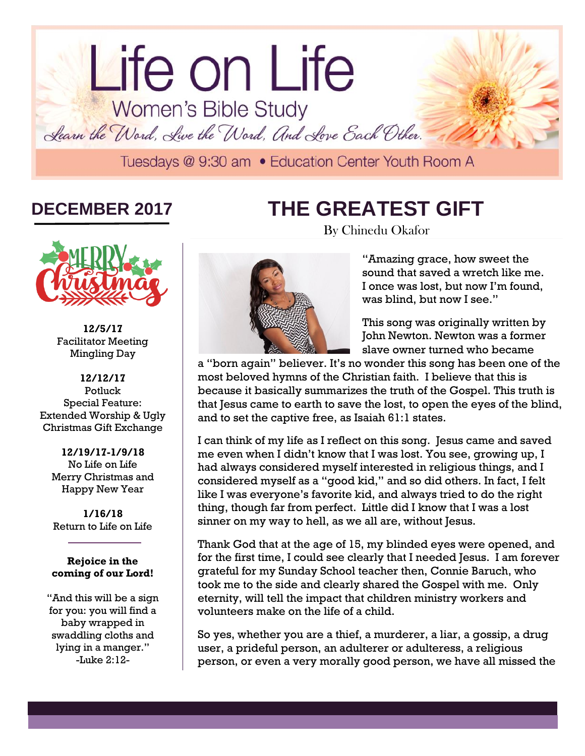# lorem in the contract of the contract of the contract of the contract of the contract of the contract of the contract of the contract of the contract of the contract of the contract of the contract of the contract of the c Life on Life Women's Bible Study Learn the Word, Live the Word, And Love Each Other. Tuesdays @ 9:30 am . Education Center Youth Room A

# **DECEMBER 2017**

# **THE GREATEST GIFT**



**12/5/17** Facilitator Meeting Mingling Day

**12/12/17** Potluck Special Feature: Extended Worship & Ugly Christmas Gift Exchange

**12/19/17-1/9/18** No Life on Life Merry Christmas and Happy New Year

**1/16/18** Return to Life on Life

#### **Rejoice in the coming of our Lord!**

"And this will be a sign for you: you will find a baby wrapped in swaddling cloths and lying in a manger." -Luke 2:12-



By Chinedu Okafor

"Amazing grace, how sweet the sound that saved a wretch like me. I once was lost, but now I'm found, was blind, but now I see."

This song was originally written by John Newton. Newton was a former slave owner turned who became

a "born again" believer. It's no wonder this song has been one of the most beloved hymns of the Christian faith. I believe that this is because it basically summarizes the truth of the Gospel. This truth is that Jesus came to earth to save the lost, to open the eyes of the blind, and to set the captive free, as Isaiah 61:1 states.

I can think of my life as I reflect on this song. Jesus came and saved me even when I didn't know that I was lost. You see, growing up, I had always considered myself interested in religious things, and I considered myself as a "good kid," and so did others. In fact, I felt like I was everyone's favorite kid, and always tried to do the right thing, though far from perfect. Little did I know that I was a lost sinner on my way to hell, as we all are, without Jesus.

Thank God that at the age of 15, my blinded eyes were opened, and for the first time, I could see clearly that I needed Jesus. I am forever grateful for my Sunday School teacher then, Connie Baruch, who took me to the side and clearly shared the Gospel with me. Only eternity, will tell the impact that children ministry workers and volunteers make on the life of a child.

So yes, whether you are a thief, a murderer, a liar, a gossip, a drug user, a prideful person, an adulterer or adulteress, a religious person, or even a very morally good person, we have all missed the